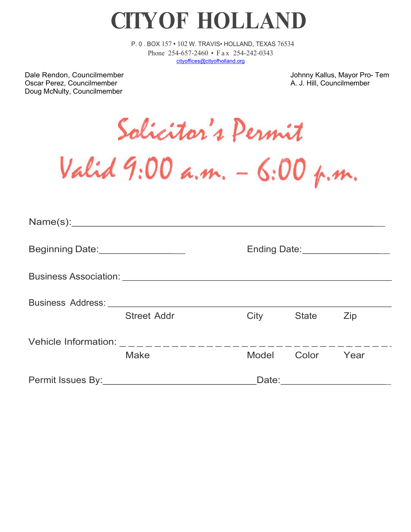**CITY OF HOLLAND**

P. 0 . BOX 157 • 102 W. TRAVIS• HOLLAND, TEXAS 76534 Phone 254-657-2460 • Fax 254-242-0343 [cityoffices@cityofholland.org](mailto:cityoffices@cityofholland.org)

Dale Rendon, Councilmember **Johnny Kallus, Mayor Pro- Tem** Oscar Perez, Councilmember A. J. Hill, Councilmember Doug McNulty, Councilmember

Salicitor's Permit

Valid 9:00 a.m. - 6:00 p.m.

| Beginning Date:__________________ |                    |      | Ending Date:___________________ |      |  |  |  |  |
|-----------------------------------|--------------------|------|---------------------------------|------|--|--|--|--|
|                                   |                    |      |                                 |      |  |  |  |  |
|                                   |                    |      |                                 |      |  |  |  |  |
|                                   | <b>Street Addr</b> | City | <b>State</b>                    | Zip  |  |  |  |  |
|                                   |                    |      |                                 |      |  |  |  |  |
|                                   | <b>Make</b>        |      | Model Color                     | Year |  |  |  |  |
|                                   |                    |      | Date: __________________        |      |  |  |  |  |